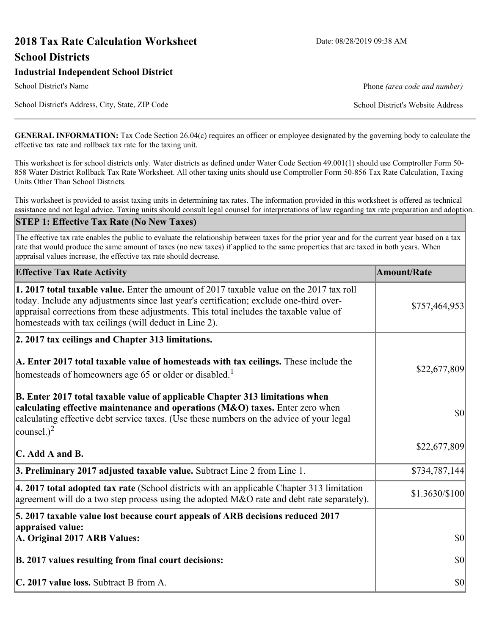# **2018 Tax Rate Calculation Worksheet** Date: 08/28/2019 09:38 AM **School Districts**

### **Industrial Independent School District**

School District's Address, City, State, ZIP Code School District's Website Address

School District's Name **Phone** *(area code and number)* Phone *(area code and number)* 

**GENERAL INFORMATION:** Tax Code Section 26.04(c) requires an officer or employee designated by the governing body to calculate the effective tax rate and rollback tax rate for the taxing unit.

This worksheet is for school districts only. Water districts as defined under Water Code Section 49.001(1) should use Comptroller Form 50- 858 Water District Rollback Tax Rate Worksheet. All other taxing units should use Comptroller Form 50-856 Tax Rate Calculation, Taxing Units Other Than School Districts.

This worksheet is provided to assist taxing units in determining tax rates. The information provided in this worksheet is offered as technical assistance and not legal advice. Taxing units should consult legal counsel for interpretations of law regarding tax rate preparation and adoption.

#### **STEP 1: Effective Tax Rate (No New Taxes)**

The effective tax rate enables the public to evaluate the relationship between taxes for the prior year and for the current year based on a tax rate that would produce the same amount of taxes (no new taxes) if applied to the same properties that are taxed in both years. When appraisal values increase, the effective tax rate should decrease.

| <b>Effective Tax Rate Activity</b>                                                                                                                                                                                                                                                                                                     | <b>Amount/Rate</b> |
|----------------------------------------------------------------------------------------------------------------------------------------------------------------------------------------------------------------------------------------------------------------------------------------------------------------------------------------|--------------------|
| 1. 2017 total taxable value. Enter the amount of 2017 taxable value on the 2017 tax roll<br>today. Include any adjustments since last year's certification; exclude one-third over-<br>appraisal corrections from these adjustments. This total includes the taxable value of<br>homesteads with tax ceilings (will deduct in Line 2). | \$757,464,953      |
| 2. 2017 tax ceilings and Chapter 313 limitations.                                                                                                                                                                                                                                                                                      |                    |
| A. Enter 2017 total taxable value of homesteads with tax ceilings. These include the<br>homesteads of homeowners age 65 or older or disabled. <sup>1</sup>                                                                                                                                                                             | \$22,677,809       |
| B. Enter 2017 total taxable value of applicable Chapter 313 limitations when<br>calculating effective maintenance and operations (M&O) taxes. Enter zero when<br>calculating effective debt service taxes. (Use these numbers on the advice of your legal<br>counsel.) <sup>2</sup>                                                    | $ 10\rangle$       |
| $\mathbb C$ . Add A and B.                                                                                                                                                                                                                                                                                                             | \$22,677,809       |
| 3. Preliminary 2017 adjusted taxable value. Subtract Line 2 from Line 1.                                                                                                                                                                                                                                                               | \$734,787,144      |
| $\vert$ 4. 2017 total adopted tax rate (School districts with an applicable Chapter 313 limitation<br>agreement will do a two step process using the adopted M&O rate and debt rate separately).                                                                                                                                       | $$1.3630/\$100$    |
| 5. 2017 taxable value lost because court appeals of ARB decisions reduced 2017                                                                                                                                                                                                                                                         |                    |
| appraised value:<br>A. Original 2017 ARB Values:                                                                                                                                                                                                                                                                                       | $ 10\rangle$       |
| B. 2017 values resulting from final court decisions:                                                                                                                                                                                                                                                                                   | $ 10\rangle$       |
| C. 2017 value loss. Subtract B from A.                                                                                                                                                                                                                                                                                                 | $ 10\rangle$       |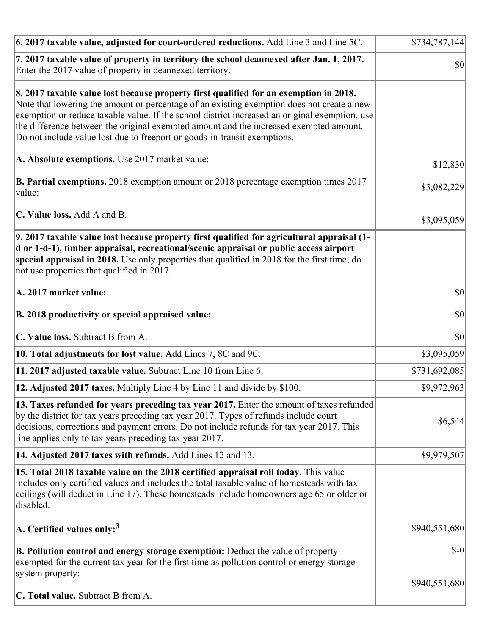| 6. 2017 taxable value, adjusted for court-ordered reductions. Add Line 3 and Line 5C.                                                                                                                                                                                                                                                                                                                                                                        | \$734,787,144 |
|--------------------------------------------------------------------------------------------------------------------------------------------------------------------------------------------------------------------------------------------------------------------------------------------------------------------------------------------------------------------------------------------------------------------------------------------------------------|---------------|
| 7. 2017 taxable value of property in territory the school deannexed after Jan. 1, 2017.<br>Enter the 2017 value of property in deannexed territory.                                                                                                                                                                                                                                                                                                          | $ 10\rangle$  |
| 8. 2017 taxable value lost because property first qualified for an exemption in 2018.<br>Note that lowering the amount or percentage of an existing exemption does not create a new<br>exemption or reduce taxable value. If the school district increased an original exemption, use<br>the difference between the original exempted amount and the increased exempted amount.<br>Do not include value lost due to freeport or goods-in-transit exemptions. |               |
| A. Absolute exemptions. Use 2017 market value:                                                                                                                                                                                                                                                                                                                                                                                                               | \$12,830      |
| <b>B. Partial exemptions.</b> 2018 exemption amount or 2018 percentage exemption times 2017<br>$\vert$ value:                                                                                                                                                                                                                                                                                                                                                | \$3,082,229   |
| C. Value loss. Add A and B.                                                                                                                                                                                                                                                                                                                                                                                                                                  | \$3,095,059   |
| 9. 2017 taxable value lost because property first qualified for agricultural appraisal (1-<br>d or 1-d-1), timber appraisal, recreational/scenic appraisal or public access airport<br>special appraisal in 2018. Use only properties that qualified in 2018 for the first time; do<br>not use properties that qualified in 2017.                                                                                                                            |               |
| A. 2017 market value:                                                                                                                                                                                                                                                                                                                                                                                                                                        | $ 10\rangle$  |
| B. 2018 productivity or special appraised value:                                                                                                                                                                                                                                                                                                                                                                                                             | \$0           |
| C. Value loss. Subtract B from A.                                                                                                                                                                                                                                                                                                                                                                                                                            | \$0           |
| 10. Total adjustments for lost value. Add Lines 7, 8C and 9C.                                                                                                                                                                                                                                                                                                                                                                                                | \$3,095,059   |
| 11. 2017 adjusted taxable value. Subtract Line 10 from Line 6.                                                                                                                                                                                                                                                                                                                                                                                               | \$731,692,085 |
| <b>12. Adjusted 2017 taxes.</b> Multiply Line 4 by Line 11 and divide by \$100.                                                                                                                                                                                                                                                                                                                                                                              | \$9,972,963   |
| [13. Taxes refunded for years preceding tax year 2017. Enter the amount of taxes refunded]<br>by the district for tax years preceding tax year 2017. Types of refunds include court<br>decisions, corrections and payment errors. Do not include refunds for tax year 2017. This<br>line applies only to tax years preceding tax year 2017.                                                                                                                  | \$6,544       |
| 14. Adjusted 2017 taxes with refunds. Add Lines 12 and 13.                                                                                                                                                                                                                                                                                                                                                                                                   | \$9,979,507   |
| <b>15. Total 2018 taxable value on the 2018 certified appraisal roll today.</b> This value<br>includes only certified values and includes the total taxable value of homesteads with tax<br>ceilings (will deduct in Line 17). These homesteads include homeowners age 65 or older or<br>disabled.                                                                                                                                                           |               |
| A. Certified values only: <sup>3</sup>                                                                                                                                                                                                                                                                                                                                                                                                                       | \$940,551,680 |
| <b>B. Pollution control and energy storage exemption:</b> Deduct the value of property<br>exempted for the current tax year for the first time as pollution control or energy storage<br>system property:                                                                                                                                                                                                                                                    | $S-0$         |
|                                                                                                                                                                                                                                                                                                                                                                                                                                                              | \$940,551,680 |
| <b>C. Total value.</b> Subtract B from A.                                                                                                                                                                                                                                                                                                                                                                                                                    |               |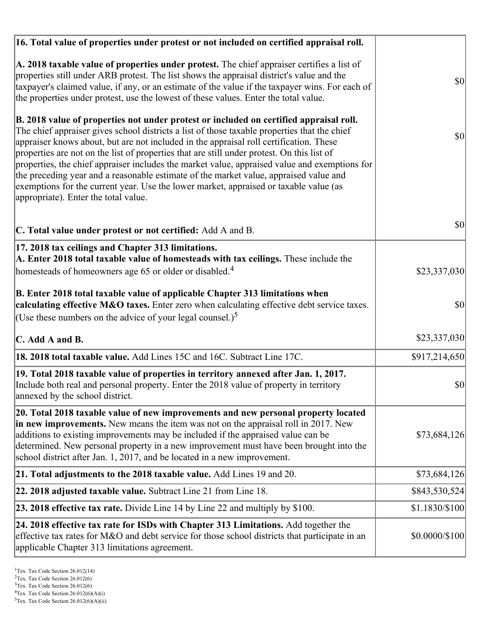| 16. Total value of properties under protest or not included on certified appraisal roll.                                                                                                                                                                                                                                                                                                                                                                                                                                                                                                                                                                                                                  |                |
|-----------------------------------------------------------------------------------------------------------------------------------------------------------------------------------------------------------------------------------------------------------------------------------------------------------------------------------------------------------------------------------------------------------------------------------------------------------------------------------------------------------------------------------------------------------------------------------------------------------------------------------------------------------------------------------------------------------|----------------|
| A. 2018 taxable value of properties under protest. The chief appraiser certifies a list of<br>properties still under ARB protest. The list shows the appraisal district's value and the<br>taxpayer's claimed value, if any, or an estimate of the value if the taxpayer wins. For each of<br>the properties under protest, use the lowest of these values. Enter the total value.                                                                                                                                                                                                                                                                                                                        | $ 10\rangle$   |
| B. 2018 value of properties not under protest or included on certified appraisal roll.<br>The chief appraiser gives school districts a list of those taxable properties that the chief<br>appraiser knows about, but are not included in the appraisal roll certification. These<br>properties are not on the list of properties that are still under protest. On this list of<br>properties, the chief appraiser includes the market value, appraised value and exemptions for<br>the preceding year and a reasonable estimate of the market value, appraised value and<br>exemptions for the current year. Use the lower market, appraised or taxable value (as<br>appropriate). Enter the total value. | \$0            |
| C. Total value under protest or not certified: Add A and B.                                                                                                                                                                                                                                                                                                                                                                                                                                                                                                                                                                                                                                               | 30             |
| 17. 2018 tax ceilings and Chapter 313 limitations.<br>A. Enter 2018 total taxable value of homesteads with tax ceilings. These include the                                                                                                                                                                                                                                                                                                                                                                                                                                                                                                                                                                |                |
| homesteads of homeowners age 65 or older or disabled. <sup>4</sup>                                                                                                                                                                                                                                                                                                                                                                                                                                                                                                                                                                                                                                        | \$23,337,030   |
| B. Enter 2018 total taxable value of applicable Chapter 313 limitations when<br>calculating effective M&O taxes. Enter zero when calculating effective debt service taxes.<br>(Use these numbers on the advice of your legal counsel.) <sup>5</sup>                                                                                                                                                                                                                                                                                                                                                                                                                                                       | \$0            |
| C. Add A and B.                                                                                                                                                                                                                                                                                                                                                                                                                                                                                                                                                                                                                                                                                           | \$23,337,030   |
| 18. 2018 total taxable value. Add Lines 15C and 16C. Subtract Line 17C.                                                                                                                                                                                                                                                                                                                                                                                                                                                                                                                                                                                                                                   | \$917,214,650  |
| 19. Total 2018 taxable value of properties in territory annexed after Jan. 1, 2017.<br>Include both real and personal property. Enter the 2018 value of property in territory<br>annexed by the school district.                                                                                                                                                                                                                                                                                                                                                                                                                                                                                          | \$0            |
| 20. Total 2018 taxable value of new improvements and new personal property located<br>in new improvements. New means the item was not on the appraisal roll in 2017. New<br>additions to existing improvements may be included if the appraised value can be<br>determined. New personal property in a new improvement must have been brought into the<br>school district after Jan. 1, 2017, and be located in a new improvement.                                                                                                                                                                                                                                                                        | \$73,684,126   |
| 21. Total adjustments to the 2018 taxable value. Add Lines 19 and 20.                                                                                                                                                                                                                                                                                                                                                                                                                                                                                                                                                                                                                                     | \$73,684,126   |
| 22. 2018 adjusted taxable value. Subtract Line 21 from Line 18.                                                                                                                                                                                                                                                                                                                                                                                                                                                                                                                                                                                                                                           | \$843,530,524  |
| <b>23. 2018 effective tax rate.</b> Divide Line 14 by Line 22 and multiply by \$100.                                                                                                                                                                                                                                                                                                                                                                                                                                                                                                                                                                                                                      | \$1.1830/\$100 |
| 24. 2018 effective tax rate for ISDs with Chapter 313 Limitations. Add together the<br>effective tax rates for M&O and debt service for those school districts that participate in an<br>applicable Chapter 313 limitations agreement.                                                                                                                                                                                                                                                                                                                                                                                                                                                                    | \$0.0000/\$100 |

 $2$ Tex. Tax Code Section 26.012(6)

<sup>&</sup>lt;sup>3</sup>Tex. Tax Code Section 26.012(6)

 ${}^{4}$ Tex. Tax Code Section 26.012(6)(A)(i)

 $5$ Tex. Tax Code Section 26.012(6)(A)(ii)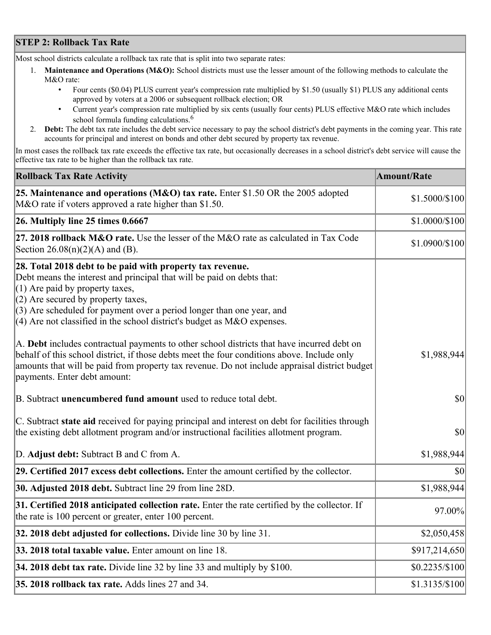## **STEP 2: Rollback Tax Rate**

Most school districts calculate a rollback tax rate that is split into two separate rates:

- 1. **Maintenance and Operations (M&O):** School districts must use the lesser amount of the following methods to calculate the M&O rate:
	- Four cents (\$0.04) PLUS current year's compression rate multiplied by \$1.50 (usually \$1) PLUS any additional cents approved by voters at a 2006 or subsequent rollback election; OR
	- Current year's compression rate multiplied by six cents (usually four cents) PLUS effective M&O rate which includes school formula funding calculations.<sup>6</sup>
- 2. **Debt:** The debt tax rate includes the debt service necessary to pay the school district's debt payments in the coming year. This rate accounts for principal and interest on bonds and other debt secured by property tax revenue.

In most cases the rollback tax rate exceeds the effective tax rate, but occasionally decreases in a school district's debt service will cause the effective tax rate to be higher than the rollback tax rate.

| <b>Rollback Tax Rate Activity</b>                                                                                                                                                                                                                                                                                                                                        | <b>Amount/Rate</b> |
|--------------------------------------------------------------------------------------------------------------------------------------------------------------------------------------------------------------------------------------------------------------------------------------------------------------------------------------------------------------------------|--------------------|
| 25. Maintenance and operations (M&O) tax rate. Enter \$1.50 OR the 2005 adopted<br>M&O rate if voters approved a rate higher than \$1.50.                                                                                                                                                                                                                                | \$1.5000/\$100     |
| $26.$ Multiply line 25 times $0.6667$                                                                                                                                                                                                                                                                                                                                    | \$1.0000/\$100     |
| 27. 2018 rollback $M&O$ rate. Use the lesser of the M $&O$ rate as calculated in Tax Code<br>Section $26.08(n)(2)(A)$ and (B).                                                                                                                                                                                                                                           | \$1.0900/\$100     |
| 28. Total 2018 debt to be paid with property tax revenue.<br>Debt means the interest and principal that will be paid on debts that:<br>$(1)$ Are paid by property taxes,<br>$(2)$ Are secured by property taxes,<br>$(3)$ Are scheduled for payment over a period longer than one year, and<br>$(4)$ Are not classified in the school district's budget as M&O expenses. |                    |
| A. Debt includes contractual payments to other school districts that have incurred debt on<br>behalf of this school district, if those debts meet the four conditions above. Include only<br>amounts that will be paid from property tax revenue. Do not include appraisal district budget<br>payments. Enter debt amount:                                               | \$1,988,944        |
| B. Subtract unencumbered fund amount used to reduce total debt.                                                                                                                                                                                                                                                                                                          | \$0                |
| C. Subtract state aid received for paying principal and interest on debt for facilities through<br>the existing debt allotment program and/or instructional facilities allotment program.                                                                                                                                                                                | \$0                |
| D. Adjust debt: Subtract B and C from A.                                                                                                                                                                                                                                                                                                                                 | \$1,988,944        |
| 29. Certified 2017 excess debt collections. Enter the amount certified by the collector.                                                                                                                                                                                                                                                                                 | $ 10\rangle$       |
| 30. Adjusted 2018 debt. Subtract line 29 from line 28D.                                                                                                                                                                                                                                                                                                                  | \$1,988,944        |
| 31. Certified 2018 anticipated collection rate. Enter the rate certified by the collector. If<br>the rate is 100 percent or greater, enter 100 percent.                                                                                                                                                                                                                  | 97.00%             |
| 32. 2018 debt adjusted for collections. Divide line 30 by line 31.                                                                                                                                                                                                                                                                                                       | \$2,050,458        |
| 33. 2018 total taxable value. Enter amount on line 18.                                                                                                                                                                                                                                                                                                                   | \$917,214,650      |
| 34. 2018 debt tax rate. Divide line 32 by line 33 and multiply by \$100.                                                                                                                                                                                                                                                                                                 | $$0.2235/\$100$    |
| 35. 2018 rollback tax rate. Adds lines 27 and 34.                                                                                                                                                                                                                                                                                                                        | $$1.3135/\$100$    |